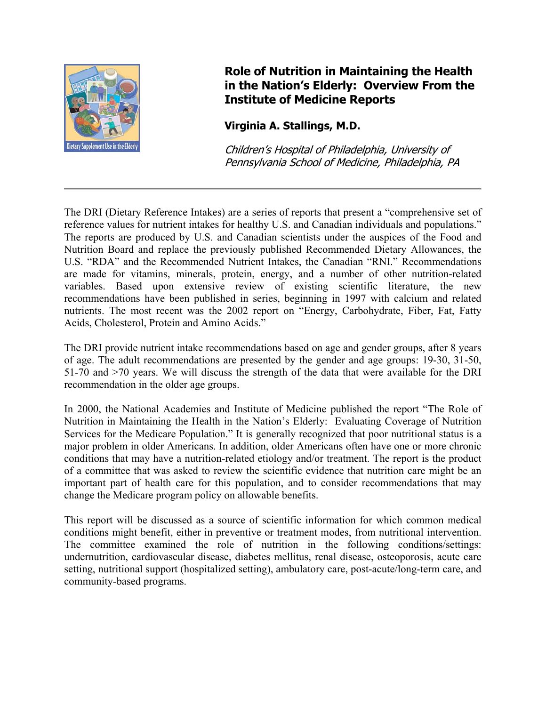

## **Role of Nutrition in Maintaining the Health in the Nation's Elderly: Overview From the Institute of Medicine Reports**

## **Virginia A. Stallings, M.D.**

Children's Hospital of Philadelphia, University o f Pennsylvania School of Medicine, Philadelphia, PA

The DRI (Dietary Reference Intakes) are a series of reports that present a "comprehensive set of reference values for nutrient intakes for healthy U.S. and Canadian individuals and populations." The reports are produced by U.S. and Canadian scientists under the auspices of the Food and Nutrition Board and replace the previously published Recommended Dietary Allowances, the U.S. "RDA" and the Recommended Nutrient Intakes, the Canadian "RNI." Recommendations are made for vitamins, minerals, protein, energy, and a number of other nutrition-related variables. Based upon extensive review of existing scientific literature, the new recommendations have been published in series, beginning in 1997 with calcium and related nutrients. The most recent was the 2002 report on "Energy, Carbohydrate, Fiber, Fat, Fatty Acids, Cholesterol, Protein and Amino Acids."

The DRI provide nutrient intake recommendations based on age and gender groups, after 8 years of age. The adult recommendations are presented by the gender and age groups: 19-30, 31-50, 51-70 and >70 years. We will discuss the strength of the data that were available for the DRI recommendation in the older age groups.

In 2000, the National Academies and Institute of Medicine published the report "The Role of Nutrition in Maintaining the Health in the Nation's Elderly: Evaluating Coverage of Nutrition Services for the Medicare Population." It is generally recognized that poor nutritional status is a major problem in older Americans. In addition, older Americans often have one or more chronic conditions that may have a nutrition-related etiology and/or treatment. The report is the product of a committee that was asked to review the scientific evidence that nutrition care might be an important part of health care for this population, and to consider recommendations that may change the Medicare program policy on allowable benefits.

This report will be discussed as a source of scientific information for which common medical conditions might benefit, either in preventive or treatment modes, from nutritional intervention. The committee examined the role of nutrition in the following conditions/settings: undernutrition, cardiovascular disease, diabetes mellitus, renal disease, osteoporosis, acute care setting, nutritional support (hospitalized setting), ambulatory care, post-acute/long-term care, and community-based programs.